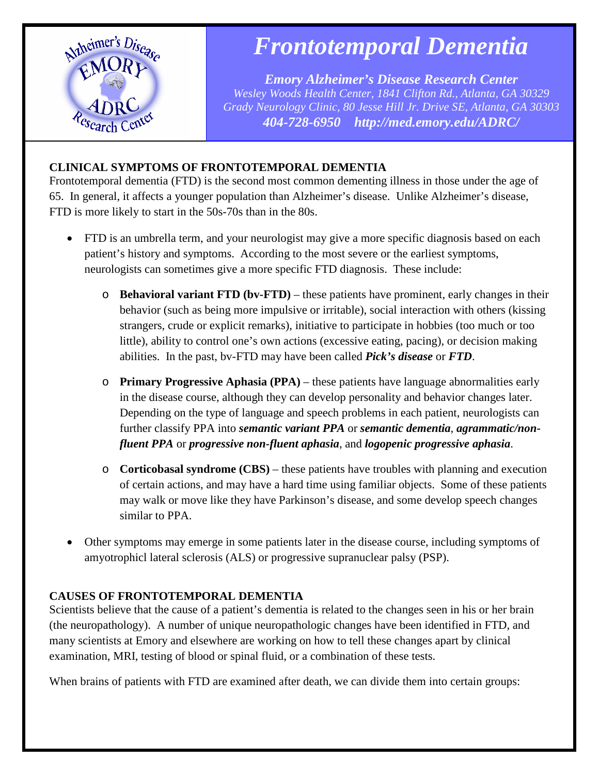

# *Frontotemporal Dementia*

*Emory Alzheimer's Disease Research Center Wesley Woods Health Center, 1841 Clifton Rd., Atlanta, GA 30329 Grady Neurology Clinic, 80 Jesse Hill Jr. Drive SE, Atlanta, GA 30303 404-728-6950 http://med.emory.edu/ADRC/*

# **CLINICAL SYMPTOMS OF FRONTOTEMPORAL DEMENTIA**

Frontotemporal dementia (FTD) is the second most common dementing illness in those under the age of 65. In general, it affects a younger population than Alzheimer's disease. Unlike Alzheimer's disease, FTD is more likely to start in the 50s-70s than in the 80s.

- FTD is an umbrella term, and your neurologist may give a more specific diagnosis based on each patient's history and symptoms. According to the most severe or the earliest symptoms, neurologists can sometimes give a more specific FTD diagnosis. These include:
	- o **Behavioral variant FTD (bv-FTD)** these patients have prominent, early changes in their behavior (such as being more impulsive or irritable), social interaction with others (kissing strangers, crude or explicit remarks), initiative to participate in hobbies (too much or too little), ability to control one's own actions (excessive eating, pacing), or decision making abilities. In the past, bv-FTD may have been called *Pick's disease* or *FTD*.
	- o **Primary Progressive Aphasia (PPA)**  these patients have language abnormalities early in the disease course, although they can develop personality and behavior changes later. Depending on the type of language and speech problems in each patient, neurologists can further classify PPA into *semantic variant PPA* or *semantic dementia*, *agrammatic/nonfluent PPA* or *progressive non-fluent aphasia*, and *logopenic progressive aphasia*.
	- o **Corticobasal syndrome (CBS)** these patients have troubles with planning and execution of certain actions, and may have a hard time using familiar objects. Some of these patients may walk or move like they have Parkinson's disease, and some develop speech changes similar to PPA.
- Other symptoms may emerge in some patients later in the disease course, including symptoms of amyotrophicl lateral sclerosis (ALS) or progressive supranuclear palsy (PSP).

# **CAUSES OF FRONTOTEMPORAL DEMENTIA**

Scientists believe that the cause of a patient's dementia is related to the changes seen in his or her brain (the neuropathology). A number of unique neuropathologic changes have been identified in FTD, and many scientists at Emory and elsewhere are working on how to tell these changes apart by clinical examination, MRI, testing of blood or spinal fluid, or a combination of these tests.

When brains of patients with FTD are examined after death, we can divide them into certain groups: